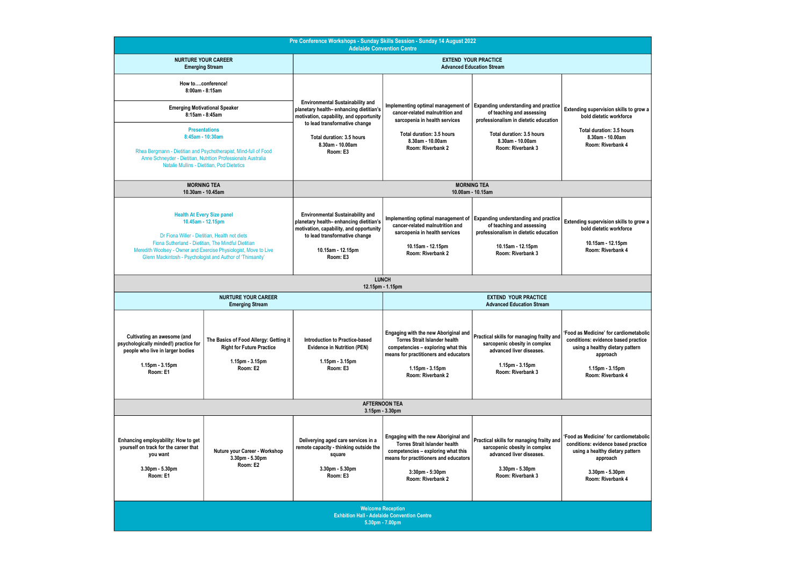| Pre Conference Workshops - Sunday Skills Session - Sunday 14 August 2022<br><b>Adelaide Convention Centre</b>                                                                                                                                                                                                                        |                                                                                                           |                                                                                                                                                                                                                            |                                                                                                                                                                                                     |                                                                                                                                                                                         |                                                                                                                                                                        |
|--------------------------------------------------------------------------------------------------------------------------------------------------------------------------------------------------------------------------------------------------------------------------------------------------------------------------------------|-----------------------------------------------------------------------------------------------------------|----------------------------------------------------------------------------------------------------------------------------------------------------------------------------------------------------------------------------|-----------------------------------------------------------------------------------------------------------------------------------------------------------------------------------------------------|-----------------------------------------------------------------------------------------------------------------------------------------------------------------------------------------|------------------------------------------------------------------------------------------------------------------------------------------------------------------------|
| <b>NURTURE YOUR CAREER</b><br><b>Emerging Stream</b>                                                                                                                                                                                                                                                                                 |                                                                                                           | <b>EXTEND YOUR PRACTICE</b><br><b>Advanced Education Stream</b>                                                                                                                                                            |                                                                                                                                                                                                     |                                                                                                                                                                                         |                                                                                                                                                                        |
| How toconference!<br>$8:00$ am - $8:15$ am<br><b>Emerging Motivational Speaker</b><br>8:15am - 8:45am<br><b>Presentations</b><br>8:45am - 10:30am<br>Rhea Bergmann - Dietitian and Psychotherapist, Mind-full of Food<br>Anne Schneyder - Dietitian, Nutrition Professionals Australia<br>Natalie Mullins - Dietitian, Pod Dietetics |                                                                                                           | <b>Environmental Sustainability and</b><br>planetary health-enhancing dietitian's<br>motivation, capability, and opportunity<br>to lead transformative change<br>Total duration: 3.5 hours<br>8.30am - 10.00am<br>Room: E3 | Implementing optimal management of<br>cancer-related malnutrition and<br>sarcopenia in health services<br>Total duration: 3.5 hours<br>8.30am - 10.00am<br>Room: Riverbank 2                        | <b>Expanding understanding and practice</b><br>of teaching and assessing<br>professionalism in dietetic education<br>Total duration: 3.5 hours<br>8.30am - 10.00am<br>Room: Riverbank 3 | Extending supervision skills to grow a<br>bold dietetic workforce<br>Total duration: 3.5 hours<br>8.30am - 10.00am<br>Room: Riverbank 4                                |
|                                                                                                                                                                                                                                                                                                                                      | <b>MORNING TEA</b><br>10.30am - 10.45am                                                                   | <b>MORNING TEA</b><br>10.00am - 10.15am                                                                                                                                                                                    |                                                                                                                                                                                                     |                                                                                                                                                                                         |                                                                                                                                                                        |
| <b>Health At Every Size panel</b><br>10.45am - 12.15pm<br>Dr Fiona Willer - Dietitian, Health not diets<br>Fiona Sutherland - Dietitian, The Mindful Dietitian<br>Meredith Woolsey - Owner and Exercise Physiologist, Move to Live<br>Glenn Mackintosh - Psychologist and Author of 'Thinsanity'                                     |                                                                                                           | <b>Environmental Sustainability and</b><br>planetary health-enhancing dietitian's<br>motivation, capability, and opportunity<br>to lead transformative change<br>10.15am - 12.15pm<br>Room: E3                             | cancer-related malnutrition and<br>sarcopenia in health services<br>10.15am - 12.15pm<br>Room: Riverbank 2                                                                                          | Implementing optimal management of Expanding understanding and practice<br>of teaching and assessing<br>professionalism in dietetic education<br>10.15am - 12.15pm<br>Room: Riverbank 3 | Extending supervision skills to grow a<br>bold dietetic workforce<br>10.15am - 12.15pm<br>Room: Riverbank 4                                                            |
|                                                                                                                                                                                                                                                                                                                                      |                                                                                                           |                                                                                                                                                                                                                            | <b>LUNCH</b><br>12.15pm - 1.15pm                                                                                                                                                                    |                                                                                                                                                                                         |                                                                                                                                                                        |
| <b>NURTURE YOUR CAREER</b><br><b>Emerging Stream</b>                                                                                                                                                                                                                                                                                 |                                                                                                           |                                                                                                                                                                                                                            | <b>EXTEND YOUR PRACTICE</b><br><b>Advanced Education Stream</b>                                                                                                                                     |                                                                                                                                                                                         |                                                                                                                                                                        |
| Cultivating an awesome (and<br>psychologically minded!) practice for<br>people who live in larger bodies<br>1.15pm - 3.15pm<br>Room: E1                                                                                                                                                                                              | The Basics of Food Allergy: Getting it<br><b>Right for Future Practice</b><br>1.15pm - 3.15pm<br>Room: E2 | <b>Introduction to Practice-based</b><br><b>Evidence in Nutrition (PEN)</b><br>$1.15$ pm - $3.15$ pm<br>Room: E3                                                                                                           | <b>Engaging with the new Aboriginal and</b><br>Torres Strait Islander health<br>competencies - exploring what this<br>means for practitioners and educators<br>1.15pm - 3.15pm<br>Room: Riverbank 2 | Practical skills for managing frailty and<br>sarcopenic obesity in complex<br>advanced liver diseases.<br>1.15pm - 3.15pm<br>Room: Riverbank 3                                          | 'Food as Medicine' for cardiometabolic<br>conditions: evidence based practice<br>using a healthy dietary pattern<br>approach<br>$1.15pm - 3.15pm$<br>Room: Riverbank 4 |
| <b>AFTERNOON TEA</b><br>3.15pm - 3.30pm                                                                                                                                                                                                                                                                                              |                                                                                                           |                                                                                                                                                                                                                            |                                                                                                                                                                                                     |                                                                                                                                                                                         |                                                                                                                                                                        |
| Enhancing employability: How to get<br>yourself on track for the career that<br>you want<br>3.30pm - 5.30pm<br>Room: E1                                                                                                                                                                                                              | Nuture your Career - Workshop<br>3.30pm - 5.30pm<br>Room: E2                                              | Deliverying aged care services in a<br>remote capacity - thinking outside the<br>square<br>3.30pm - 5.30pm<br>Room: E3                                                                                                     | Engaging with the new Aboriginal and<br><b>Torres Strait Islander health</b><br>competencies - exploring what this<br>means for practitioners and educators<br>3:30pm - 5:30pm<br>Room: Riverbank 2 | Practical skills for managing frailty and<br>sarcopenic obesity in complex<br>advanced liver diseases.<br>3.30pm - 5.30pm<br>Room: Riverbank 3                                          | 'Food as Medicine' for cardiometabolic<br>conditions: evidence based practice<br>using a healthy dietary pattern<br>approach<br>3.30pm - 5.30pm<br>Room: Riverbank 4   |
| <b>Welcome Reception</b><br><b>Exhbition Hall - Adelaide Convention Centre</b><br>5.30pm - 7.00pm                                                                                                                                                                                                                                    |                                                                                                           |                                                                                                                                                                                                                            |                                                                                                                                                                                                     |                                                                                                                                                                                         |                                                                                                                                                                        |

| on skills to grow a<br>workforce     |  |
|--------------------------------------|--|
| n: 3.5 hours                         |  |
| 10.00am<br>erbank 4                  |  |
|                                      |  |
|                                      |  |
|                                      |  |
|                                      |  |
|                                      |  |
| on skills to grow a                  |  |
| workforce                            |  |
| 12.15pm<br>erbank 4                  |  |
|                                      |  |
|                                      |  |
|                                      |  |
|                                      |  |
|                                      |  |
| or cardiometabolic                   |  |
| ce based practice<br>dietary pattern |  |
| ach                                  |  |
| 3.15pm                               |  |
| erbank 4                             |  |
|                                      |  |
|                                      |  |
|                                      |  |
| or cardiometabolic                   |  |
| ce based practice<br>dietary pattern |  |
| ach                                  |  |
| 5.30pm<br>erbank 4                   |  |
|                                      |  |
|                                      |  |
|                                      |  |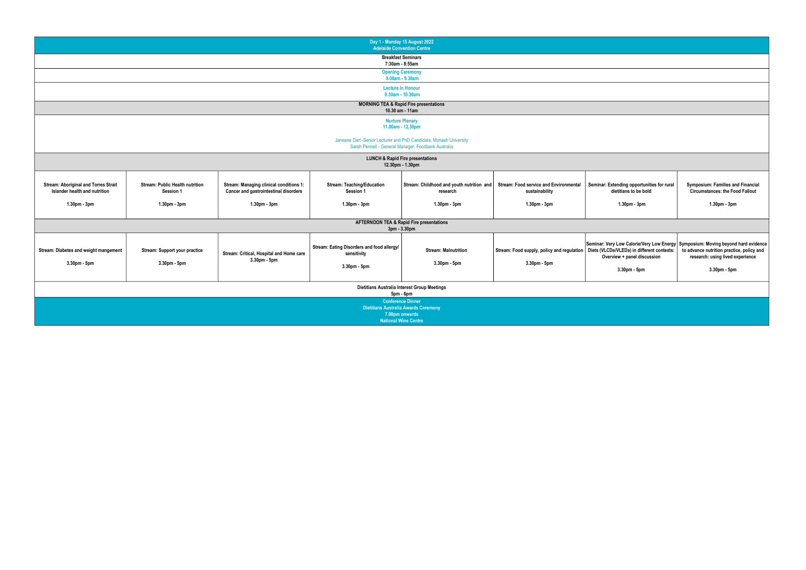

|                                                                                                                           |                                                      |                                                                                  |                                                                           | Day 1 - Monday 15 August 2022<br><b>Adelaide Convention Centre</b>                                                       |                                                                 |                                  |
|---------------------------------------------------------------------------------------------------------------------------|------------------------------------------------------|----------------------------------------------------------------------------------|---------------------------------------------------------------------------|--------------------------------------------------------------------------------------------------------------------------|-----------------------------------------------------------------|----------------------------------|
| <b>Breakfast Seminars</b><br>7:30am - 8:55am                                                                              |                                                      |                                                                                  |                                                                           |                                                                                                                          |                                                                 |                                  |
|                                                                                                                           |                                                      |                                                                                  |                                                                           | <b>Opening Ceremony</b><br>9.00am - 9.30am                                                                               |                                                                 |                                  |
|                                                                                                                           |                                                      |                                                                                  |                                                                           | <b>Lecture In Honour</b>                                                                                                 |                                                                 |                                  |
|                                                                                                                           |                                                      |                                                                                  |                                                                           | 9.30am - 10.30am                                                                                                         |                                                                 |                                  |
| <b>MORNING TEA &amp; Rapid Fire presentations</b><br>10.30 am - 11am                                                      |                                                      |                                                                                  |                                                                           |                                                                                                                          |                                                                 |                                  |
|                                                                                                                           |                                                      |                                                                                  |                                                                           | <b>Nurture Plenary</b>                                                                                                   |                                                                 |                                  |
|                                                                                                                           |                                                      |                                                                                  |                                                                           | 11.00am - 12.30pm                                                                                                        |                                                                 |                                  |
| Janeane Dart -Senior Lecturer and PhD Candidate, Monash University<br>Sarah Pennell - General Manager, Foodbank Australia |                                                      |                                                                                  |                                                                           |                                                                                                                          |                                                                 |                                  |
| <b>LUNCH &amp; Rapid Fire presentations</b><br>12.30pm - 1.30pm                                                           |                                                      |                                                                                  |                                                                           |                                                                                                                          |                                                                 |                                  |
| <b>Stream: Aboriginal and Torres Strait</b><br>Islander health and nutrition                                              | <b>Stream: Public Health nutrition</b><br>Session 1  | Stream: Managing clinical conditions 1:<br>Cancer and gastrointestinal disorders | <b>Stream: Teaching/Education</b><br>Session 1                            | Stream: Childhood and youth nutrition and<br>research                                                                    | <b>Stream: Food service and Environmental</b><br>sustainability | Seminar: E                       |
| 1.30pm - 3pm                                                                                                              | 1.30pm - 3pm                                         | 1.30pm - 3pm                                                                     | 1.30pm - 3pm                                                              | 1.30pm - 3pm                                                                                                             | 1.30pm - 3pm                                                    |                                  |
| <b>AFTERNOON TEA &amp; Rapid Fire presentations</b><br>3pm - 3.30pm                                                       |                                                      |                                                                                  |                                                                           |                                                                                                                          |                                                                 |                                  |
| Stream: Diabetes and weight mangement<br>3.30pm - 5pm                                                                     | <b>Stream: Support your practice</b><br>3.30pm - 5pm | Stream: Critical, Hospital and Home care<br>3.30pm - 5pm                         | Stream: Eating Disorders and food allergy/<br>sensitivity<br>3.30pm - 5pm | <b>Stream: Malnutrition</b><br>3.30pm - 5pm                                                                              | Stream: Food supply, policy and regulation<br>3.30pm - 5pm      | Seminar: Ve<br>Diets (VLC<br>Ove |
|                                                                                                                           |                                                      |                                                                                  |                                                                           | Dietitians Australia Interest Group Meetings<br>5pm - 6pm                                                                |                                                                 |                                  |
|                                                                                                                           |                                                      |                                                                                  |                                                                           | <b>Conference Dinner</b><br><b>Dietitians Australia Awards Ceremony</b><br>7.00pm onwards<br><b>National Wine Centre</b> |                                                                 |                                  |